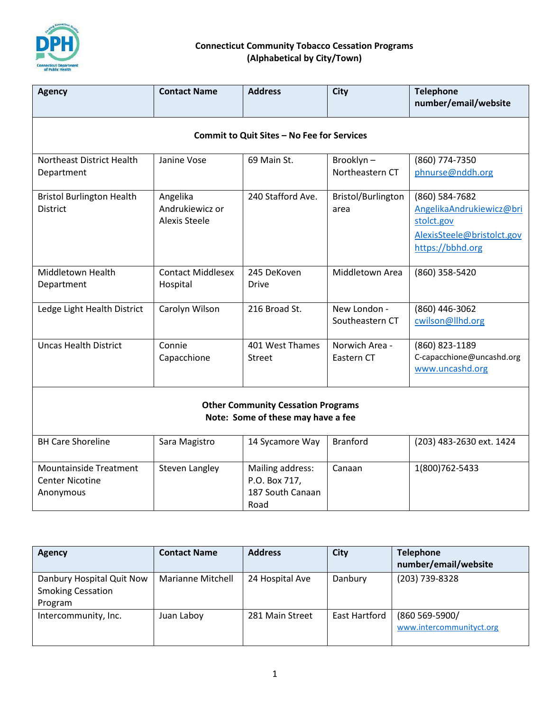

| <b>Agency</b>                                                                   | <b>Contact Name</b>                                 | <b>Address</b>                                                | <b>City</b>                     | <b>Telephone</b>                                                                                           |  |  |  |  |
|---------------------------------------------------------------------------------|-----------------------------------------------------|---------------------------------------------------------------|---------------------------------|------------------------------------------------------------------------------------------------------------|--|--|--|--|
|                                                                                 |                                                     |                                                               |                                 | number/email/website                                                                                       |  |  |  |  |
| Commit to Quit Sites - No Fee for Services                                      |                                                     |                                                               |                                 |                                                                                                            |  |  |  |  |
| Northeast District Health<br>Department                                         | Janine Vose                                         | 69 Main St.                                                   | Brooklyn-<br>Northeastern CT    | (860) 774-7350<br>phnurse@nddh.org                                                                         |  |  |  |  |
| <b>Bristol Burlington Health</b><br><b>District</b>                             | Angelika<br>Andrukiewicz or<br><b>Alexis Steele</b> | 240 Stafford Ave.                                             | Bristol/Burlington<br>area      | (860) 584-7682<br>AngelikaAndrukiewicz@bri<br>stolct.gov<br>AlexisSteele@bristolct.gov<br>https://bbhd.org |  |  |  |  |
| Middletown Health<br>Department                                                 | <b>Contact Middlesex</b><br>Hospital                | 245 DeKoven<br><b>Drive</b>                                   | Middletown Area                 | (860) 358-5420                                                                                             |  |  |  |  |
| Ledge Light Health District                                                     | Carolyn Wilson                                      | 216 Broad St.                                                 | New London -<br>Southeastern CT | (860) 446-3062<br>cwilson@llhd.org                                                                         |  |  |  |  |
| <b>Uncas Health District</b>                                                    | Connie<br>Capacchione                               | 401 West Thames<br><b>Street</b>                              | Norwich Area -<br>Eastern CT    | (860) 823-1189<br>C-capacchione@uncashd.org<br>www.uncashd.org                                             |  |  |  |  |
| <b>Other Community Cessation Programs</b><br>Note: Some of these may have a fee |                                                     |                                                               |                                 |                                                                                                            |  |  |  |  |
| <b>BH Care Shoreline</b>                                                        | Sara Magistro                                       | 14 Sycamore Way                                               | <b>Branford</b>                 | (203) 483-2630 ext. 1424                                                                                   |  |  |  |  |
| <b>Mountainside Treatment</b><br><b>Center Nicotine</b><br>Anonymous            | Steven Langley                                      | Mailing address:<br>P.O. Box 717,<br>187 South Canaan<br>Road | Canaan                          | 1(800)762-5433                                                                                             |  |  |  |  |

| Agency                                                           | <b>Contact Name</b> | <b>Address</b>  | <b>City</b>   | <b>Telephone</b><br>number/email/website   |
|------------------------------------------------------------------|---------------------|-----------------|---------------|--------------------------------------------|
| Danbury Hospital Quit Now<br><b>Smoking Cessation</b><br>Program | Marianne Mitchell   | 24 Hospital Ave | Danbury       | (203) 739-8328                             |
| Intercommunity, Inc.                                             | Juan Laboy          | 281 Main Street | East Hartford | (860 569-5900/<br>www.intercommunityct.org |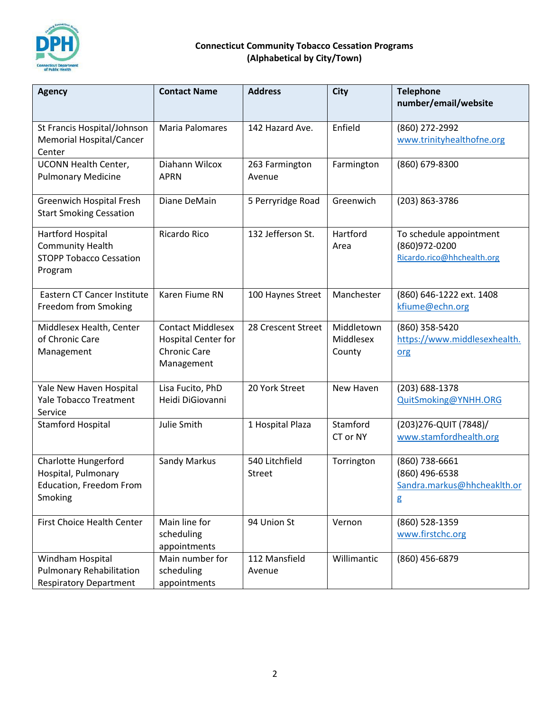

| <b>Agency</b>                                                                                   | <b>Contact Name</b>                                                                         | <b>Address</b>           | <b>City</b>                       | <b>Telephone</b><br>number/email/website                               |
|-------------------------------------------------------------------------------------------------|---------------------------------------------------------------------------------------------|--------------------------|-----------------------------------|------------------------------------------------------------------------|
| St Francis Hospital/Johnson<br><b>Memorial Hospital/Cancer</b><br>Center                        | Maria Palomares                                                                             | 142 Hazard Ave.          | Enfield                           | (860) 272-2992<br>www.trinityhealthofne.org                            |
| <b>UCONN Health Center,</b><br><b>Pulmonary Medicine</b>                                        | Diahann Wilcox<br><b>APRN</b>                                                               | 263 Farmington<br>Avenue | Farmington                        | (860) 679-8300                                                         |
| <b>Greenwich Hospital Fresh</b><br><b>Start Smoking Cessation</b>                               | Diane DeMain                                                                                | 5 Perryridge Road        | Greenwich                         | (203) 863-3786                                                         |
| Hartford Hospital<br><b>Community Health</b><br><b>STOPP Tobacco Cessation</b><br>Program       | Ricardo Rico                                                                                | 132 Jefferson St.        | Hartford<br>Area                  | To schedule appointment<br>(860)972-0200<br>Ricardo.rico@hhchealth.org |
| Eastern CT Cancer Institute<br>Freedom from Smoking                                             | Karen Fiume RN                                                                              | 100 Haynes Street        | Manchester                        | (860) 646-1222 ext. 1408<br>kfiume@echn.org                            |
| Middlesex Health, Center<br>of Chronic Care<br>Management                                       | <b>Contact Middlesex</b><br><b>Hospital Center for</b><br><b>Chronic Care</b><br>Management | 28 Crescent Street       | Middletown<br>Middlesex<br>County | (860) 358-5420<br>https://www.middlesexhealth.<br>org                  |
| Yale New Haven Hospital<br><b>Yale Tobacco Treatment</b><br>Service                             | Lisa Fucito, PhD<br>Heidi DiGiovanni                                                        | 20 York Street           | New Haven                         | (203) 688-1378<br>QuitSmoking@YNHH.ORG                                 |
| <b>Stamford Hospital</b>                                                                        | Julie Smith                                                                                 | 1 Hospital Plaza         | Stamford<br>CT or NY              | (203) 276-QUIT (7848)/<br>www.stamfordhealth.org                       |
| <b>Charlotte Hungerford</b><br>Hospital, Pulmonary<br><b>Education, Freedom From</b><br>Smoking | Sandy Markus                                                                                | 540 Litchfield<br>Street | Torrington                        | (860) 738-6661<br>(860) 496-6538<br>Sandra.markus@hhcheaklth.or<br>g   |
| <b>First Choice Health Center</b>                                                               | Main line for<br>scheduling<br>appointments                                                 | 94 Union St              | Vernon                            | (860) 528-1359<br>www.firstchc.org                                     |
| Windham Hospital<br><b>Pulmonary Rehabilitation</b><br><b>Respiratory Department</b>            | Main number for<br>scheduling<br>appointments                                               | 112 Mansfield<br>Avenue  | Willimantic                       | (860) 456-6879                                                         |